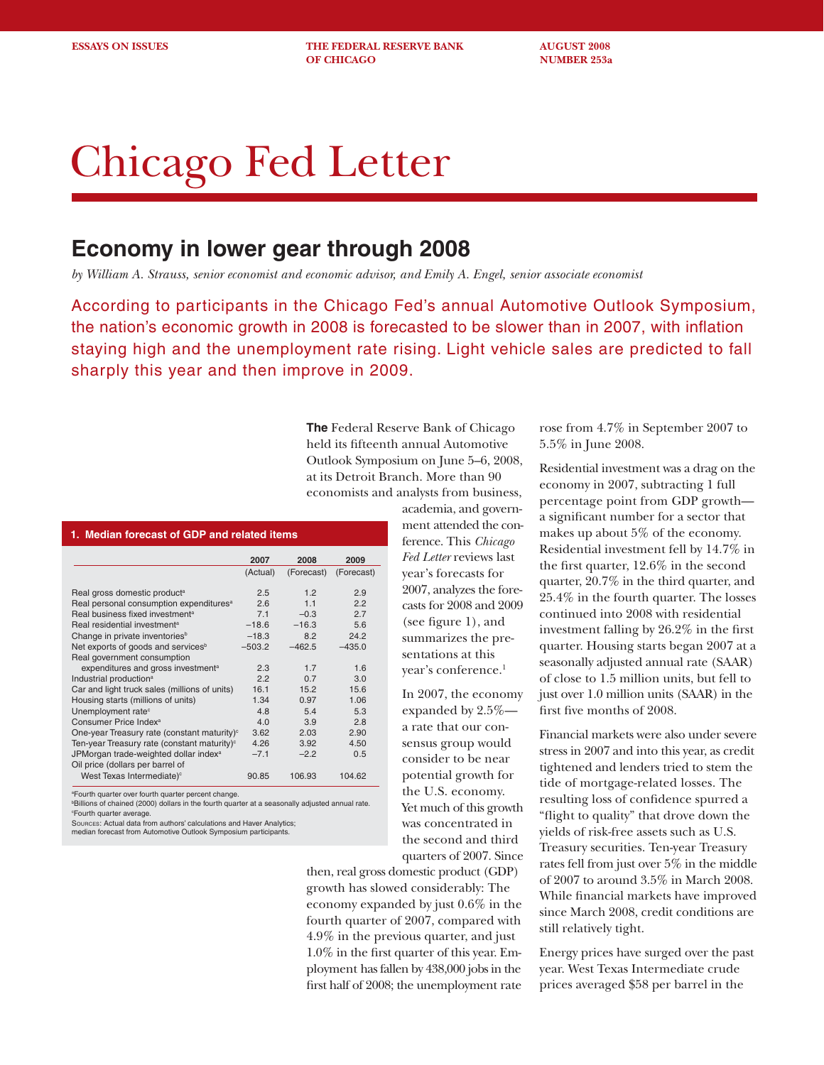**ESSAYS ON ISSUES THE FEDERAL RESERVE BANK AUGUST 2008 OF CHICAGO NUMBER 253a** 

# Chicago Fed Letter

## **Economy in lower gear through 2008**

*by William A. Strauss, senior economist and economic advisor, and Emily A. Engel, senior associate economist*

According to participants in the Chicago Fed's annual Automotive Outlook Symposium, the nation's economic growth in 2008 is forecasted to be slower than in 2007, with inflation staying high and the unemployment rate rising. Light vehicle sales are predicted to fall sharply this year and then improve in 2009.

> **The** Federal Reserve Bank of Chicago held its fifteenth annual Automotive Outlook Symposium on June 5–6, 2008, at its Detroit Branch. More than 90 economists and analysts from business,

#### **1. Median forecast of GDP and related items**

| 2007     | 2008                                                    |            |
|----------|---------------------------------------------------------|------------|
|          |                                                         | 2009       |
| (Actual) | (Forecast)                                              | (Forecast) |
|          |                                                         |            |
| 2.5      | 12                                                      | 2.9        |
| 26       | 11                                                      | 2.2        |
| 7.1      | $-0.3$                                                  | 27         |
| $-18.6$  | $-16.3$                                                 | 5.6        |
| $-18.3$  | 82                                                      | 24.2       |
| $-503.2$ | $-462.5$                                                | $-435.0$   |
|          |                                                         |            |
| 2.3      | 17                                                      | 1.6        |
| 22       | 0.7                                                     | 3.0        |
| 16.1     | 15.2                                                    | 15.6       |
| 1.34     | 0.97                                                    | 1.06       |
| 4.8      | 5.4                                                     | 5.3        |
| 4 O      | 3.9                                                     | 2.8        |
| 3.62     | 2.03                                                    | 2.90       |
| 4.26     | 3.92                                                    | 4.50       |
| $-7.1$   | $-2.2$                                                  | 0.5        |
|          |                                                         |            |
| 90.85    | 106.93                                                  | 104.62     |
|          | One-year Treasury rate (constant maturity) <sup>c</sup> |            |

a Fourth quarter over fourth quarter percent change.

b Billions of chained (2000) dollars in the fourth quarter at a seasonally adjusted annual rate. c Fourth quarter average.

SOURCES: Actual data from authors' calculations and Haver Analytics;

median forecast from Automotive Outlook Symposium participants.

academia, and government attended the conference. This *Chicago Fed Letter* reviews last year's forecasts for 2007, analyzes the forecasts for 2008 and 2009 (see figure 1), and summarizes the presentations at this year's conference.1

In 2007, the economy expanded by 2.5% a rate that our consensus group would consider to be near potential growth for the U.S. economy. Yet much of this growth was concentrated in the second and third quarters of 2007. Since

then, real gross domestic product (GDP) growth has slowed considerably: The economy expanded by just 0.6% in the fourth quarter of 2007, compared with 4.9% in the previous quarter, and just 1.0% in the first quarter of this year. Employment has fallen by 438,000 jobs in the first half of 2008; the unemployment rate

rose from 4.7% in September 2007 to 5.5% in June 2008.

Residential investment was a drag on the economy in 2007, subtracting 1 full percentage point from GDP growth a significant number for a sector that makes up about 5% of the economy. Residential investment fell by 14.7% in the first quarter,  $12.6\%$  in the second quarter, 20.7% in the third quarter, and 25.4% in the fourth quarter. The losses continued into 2008 with residential investment falling by  $26.2\%$  in the first quarter. Housing starts began 2007 at a seasonally adjusted annual rate (SAAR) of close to 1.5 million units, but fell to just over 1.0 million units (SAAR) in the first five months of 2008.

Financial markets were also under severe stress in 2007 and into this year, as credit tightened and lenders tried to stem the tide of mortgage-related losses. The resulting loss of confidence spurred a "flight to quality" that drove down the yields of risk-free assets such as U.S. Treasury securities. Ten-year Treasury rates fell from just over 5% in the middle of 2007 to around 3.5% in March 2008. While financial markets have improved since March 2008, credit conditions are still relatively tight.

Energy prices have surged over the past year. West Texas Intermediate crude prices averaged \$58 per barrel in the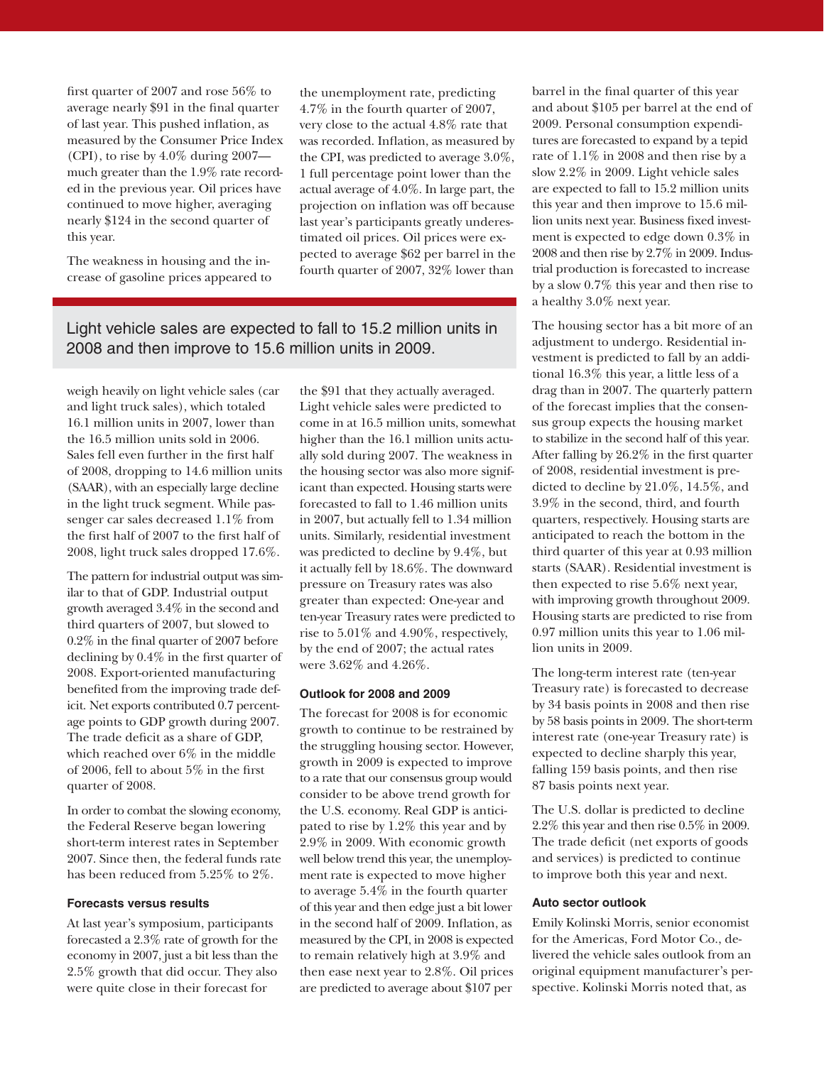first quarter of 2007 and rose  $56\%$  to average nearly \$91 in the final quarter of last year. This pushed inflation, as measured by the Consumer Price Index (CPI), to rise by 4.0% during 2007 much greater than the 1.9% rate recorded in the previous year. Oil prices have continued to move higher, averaging nearly \$124 in the second quarter of this year.

The weakness in housing and the increase of gasoline prices appeared to the unemployment rate, predicting 4.7% in the fourth quarter of 2007, very close to the actual 4.8% rate that was recorded. Inflation, as measured by the CPI, was predicted to average 3.0%, 1 full percentage point lower than the actual average of 4.0%. In large part, the projection on inflation was off because last year's participants greatly underestimated oil prices. Oil prices were expected to average \$62 per barrel in the fourth quarter of 2007, 32% lower than

### Light vehicle sales are expected to fall to 15.2 million units in 2008 and then improve to 15.6 million units in 2009.

weigh heavily on light vehicle sales (car and light truck sales), which totaled 16.1 million units in 2007, lower than the 16.5 million units sold in 2006. Sales fell even further in the first half of 2008, dropping to 14.6 million units (SAAR), with an especially large decline in the light truck segment. While passenger car sales decreased 1.1% from the first half of 2007 to the first half of 2008, light truck sales dropped 17.6%.

The pattern for industrial output was similar to that of GDP. Industrial output growth averaged 3.4% in the second and third quarters of 2007, but slowed to  $0.2\%$  in the final quarter of 2007 before declining by  $0.4\%$  in the first quarter of 2008. Export-oriented manufacturing benefited from the improving trade deficit. Net exports contributed 0.7 percentage points to GDP growth during 2007. The trade deficit as a share of GDP, which reached over 6% in the middle of 2006, fell to about  $5\%$  in the first quarter of 2008.

In order to combat the slowing economy, the Federal Reserve began lowering short-term interest rates in September 2007. Since then, the federal funds rate has been reduced from 5.25% to 2%.

#### **Forecasts versus results**

At last year's symposium, participants forecasted a 2.3% rate of growth for the economy in 2007, just a bit less than the 2.5% growth that did occur. They also were quite close in their forecast for

the \$91 that they actually averaged. Light vehicle sales were predicted to come in at 16.5 million units, somewhat higher than the 16.1 million units actually sold during 2007. The weakness in the housing sector was also more significant than expected. Housing starts were forecasted to fall to 1.46 million units in 2007, but actually fell to 1.34 million units. Similarly, residential investment was predicted to decline by 9.4%, but it actually fell by 18.6%. The downward pressure on Treasury rates was also greater than expected: One-year and ten-year Treasury rates were predicted to rise to 5.01% and 4.90%, respectively, by the end of 2007; the actual rates were 3.62% and 4.26%.

#### **Outlook for 2008 and 2009**

The forecast for 2008 is for economic growth to continue to be restrained by the struggling housing sector. However, growth in 2009 is expected to improve to a rate that our consensus group would consider to be above trend growth for the U.S. economy. Real GDP is anticipated to rise by 1.2% this year and by 2.9% in 2009. With economic growth well below trend this year, the unemployment rate is expected to move higher to average 5.4% in the fourth quarter of this year and then edge just a bit lower in the second half of 2009. Inflation, as measured by the CPI, in 2008 is expected to remain relatively high at 3.9% and then ease next year to 2.8%. Oil prices are predicted to average about \$107 per

barrel in the final quarter of this year and about \$105 per barrel at the end of 2009. Personal consumption expenditures are forecasted to expand by a tepid rate of 1.1% in 2008 and then rise by a slow 2.2% in 2009. Light vehicle sales are expected to fall to 15.2 million units this year and then improve to 15.6 million units next year. Business fixed investment is expected to edge down 0.3% in 2008 and then rise by 2.7% in 2009. Industrial production is forecasted to increase by a slow 0.7% this year and then rise to a healthy 3.0% next year.

The housing sector has a bit more of an adjustment to undergo. Residential investment is predicted to fall by an additional 16.3% this year, a little less of a drag than in 2007. The quarterly pattern of the forecast implies that the consensus group expects the housing market to stabilize in the second half of this year. After falling by  $26.2\%$  in the first quarter of 2008, residential investment is predicted to decline by 21.0%, 14.5%, and 3.9% in the second, third, and fourth quarters, respectively. Housing starts are anticipated to reach the bottom in the third quarter of this year at 0.93 million starts (SAAR). Residential investment is then expected to rise 5.6% next year, with improving growth throughout 2009. Housing starts are predicted to rise from 0.97 million units this year to 1.06 million units in 2009.

The long-term interest rate (ten-year Treasury rate) is forecasted to decrease by 34 basis points in 2008 and then rise by 58 basis points in 2009. The short-term interest rate (one-year Treasury rate) is expected to decline sharply this year, falling 159 basis points, and then rise 87 basis points next year.

The U.S. dollar is predicted to decline 2.2% this year and then rise 0.5% in 2009. The trade deficit (net exports of goods and services) is predicted to continue to improve both this year and next.

#### **Auto sector outlook**

Emily Kolinski Morris, senior economist for the Americas, Ford Motor Co., delivered the vehicle sales outlook from an original equipment manufacturer's perspective. Kolinski Morris noted that, as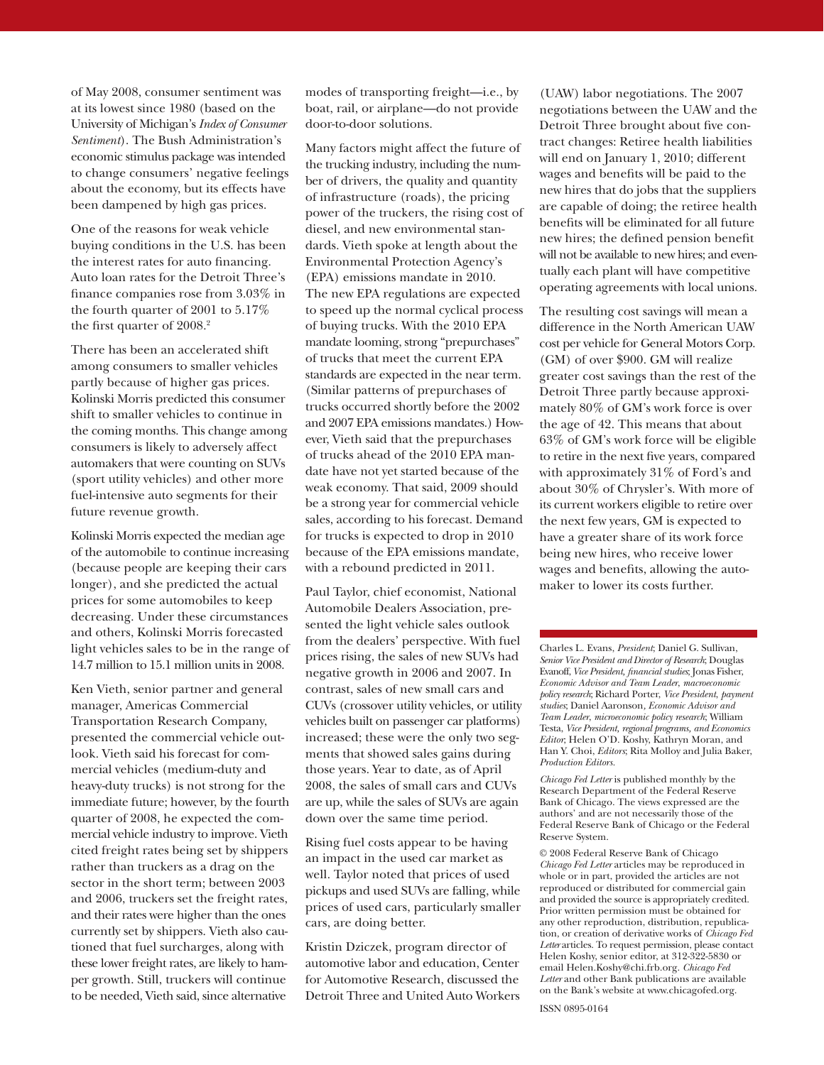of May 2008, consumer sentiment was at its lowest since 1980 (based on the University of Michigan's *Index of Consumer Sentiment*). The Bush Administration's economic stimulus package was intended to change consumers' negative feelings about the economy, but its effects have been dampened by high gas prices.

One of the reasons for weak vehicle buying conditions in the U.S. has been the interest rates for auto financing. Auto loan rates for the Detroit Three's finance companies rose from  $3.03\%$  in the fourth quarter of 2001 to 5.17% the first quarter of  $2008.<sup>2</sup>$ 

There has been an accelerated shift among consumers to smaller vehicles partly because of higher gas prices. Kolinski Morris predicted this consumer shift to smaller vehicles to continue in the coming months. This change among consumers is likely to adversely affect automakers that were counting on SUVs (sport utility vehicles) and other more fuel-intensive auto segments for their future revenue growth.

Kolinski Morris expected the median age of the automobile to continue increasing (because people are keeping their cars longer), and she predicted the actual prices for some automobiles to keep decreasing. Under these circumstances and others, Kolinski Morris forecasted light vehicles sales to be in the range of 14.7 million to 15.1 million units in 2008.

Ken Vieth, senior partner and general manager, Americas Commercial Transportation Research Company, presented the commercial vehicle outlook. Vieth said his forecast for commercial vehicles (medium-duty and heavy-duty trucks) is not strong for the immediate future; however, by the fourth quarter of 2008, he expected the commercial vehicle industry to improve. Vieth cited freight rates being set by shippers rather than truckers as a drag on the sector in the short term; between 2003 and 2006, truckers set the freight rates, and their rates were higher than the ones currently set by shippers. Vieth also cautioned that fuel surcharges, along with these lower freight rates, are likely to hamper growth. Still, truckers will continue to be needed, Vieth said, since alternative

modes of transporting freight—i.e., by boat, rail, or airplane—do not provide door-to-door solutions.

Many factors might affect the future of the trucking industry, including the number of drivers, the quality and quantity of infrastructure (roads), the pricing power of the truckers, the rising cost of diesel, and new environmental standards. Vieth spoke at length about the Environmental Protection Agency's (EPA) emissions mandate in 2010. The new EPA regulations are expected to speed up the normal cyclical process of buying trucks. With the 2010 EPA mandate looming, strong "prepurchases" of trucks that meet the current EPA standards are expected in the near term. (Similar patterns of prepurchases of trucks occurred shortly before the 2002 and 2007 EPA emissions mandates.) However, Vieth said that the prepurchases of trucks ahead of the 2010 EPA mandate have not yet started because of the weak economy. That said, 2009 should be a strong year for commercial vehicle sales, according to his forecast. Demand for trucks is expected to drop in 2010 because of the EPA emissions mandate, with a rebound predicted in 2011.

Paul Taylor, chief economist, National Automobile Dealers Association, presented the light vehicle sales outlook from the dealers' perspective. With fuel prices rising, the sales of new SUVs had negative growth in 2006 and 2007. In contrast, sales of new small cars and CUVs (crossover utility vehicles, or utility vehicles built on passenger car platforms) increased; these were the only two segments that showed sales gains during those years. Year to date, as of April 2008, the sales of small cars and CUVs are up, while the sales of SUVs are again down over the same time period.

Rising fuel costs appear to be having an impact in the used car market as well. Taylor noted that prices of used pickups and used SUVs are falling, while prices of used cars, particularly smaller cars, are doing better.

Kristin Dziczek, program director of automotive labor and education, Center for Automotive Research, discussed the Detroit Three and United Auto Workers

(UAW) labor negotiations. The 2007 negotiations between the UAW and the Detroit Three brought about five contract changes: Retiree health liabilities will end on January 1, 2010; different wages and benefits will be paid to the new hires that do jobs that the suppliers are capable of doing; the retiree health benefits will be eliminated for all future new hires; the defined pension benefit will not be available to new hires; and eventually each plant will have competitive operating agreements with local unions.

The resulting cost savings will mean a difference in the North American UAW cost per vehicle for General Motors Corp. (GM) of over \$900. GM will realize greater cost savings than the rest of the Detroit Three partly because approximately 80% of GM's work force is over the age of 42. This means that about 63% of GM's work force will be eligible to retire in the next five years, compared with approximately 31% of Ford's and about 30% of Chrysler's. With more of its current workers eligible to retire over the next few years, GM is expected to have a greater share of its work force being new hires, who receive lower wages and benefits, allowing the automaker to lower its costs further.

Charles L. Evans, *President*; Daniel G. Sullivan, *Senior Vice President and Director of Research*; Douglas Evanoff, *Vice President, fi nancial studies*; Jonas Fisher, *Economic Advisor and Team Leader*, *macroeconomic policy research*; Richard Porter, *Vice President*, *payment studies*; Daniel Aaronson*, Economic Advisor and Team Leader*, *microeconomic policy research*; William Testa, *Vice President, regional programs, and Economics Editor*; Helen O'D. Koshy, Kathryn Moran, and Han Y. Choi, *Editors*; Rita Molloy and Julia Baker, *Production Editors.*

*Chicago Fed Letter* is published monthly by the Research Department of the Federal Reserve Bank of Chicago. The views expressed are the authors' and are not necessarily those of the Federal Reserve Bank of Chicago or the Federal Reserve System.

© 2008 Federal Reserve Bank of Chicago *Chicago Fed Letter* articles may be reproduced in whole or in part, provided the articles are not reproduced or distributed for commercial gain and provided the source is appropriately credited. Prior written permission must be obtained for any other reproduction, distribution, republication, or creation of derivative works of *Chicago Fed Letter* articles. To request permission, please contact Helen Koshy, senior editor, at 312-322-5830 or email Helen.Koshy@chi.frb.org. *Chicago Fed Letter* and other Bank publications are available on the Bank's website at www.chicagofed.org.

ISSN 0895-0164